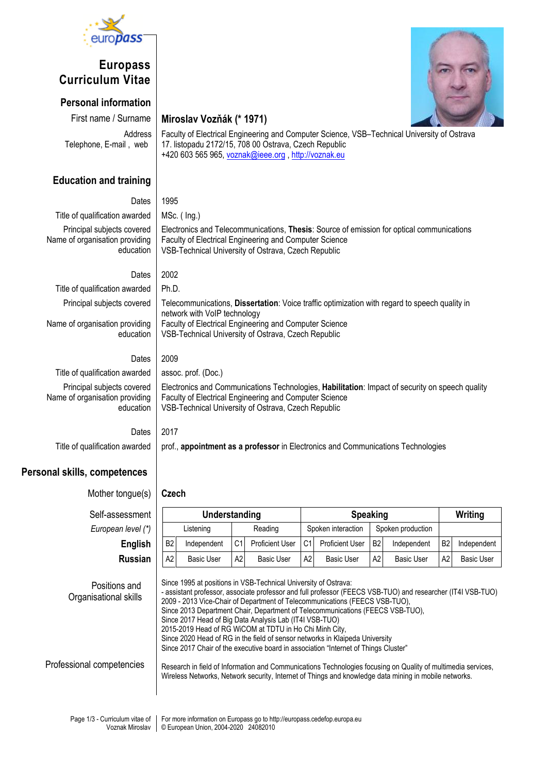

## **Europass Curriculum Vitae**

### **Personal information**

First name / Surname **Miroslav Vozňák (\* 1971)**

 Address Telephone, E-mail , web

## Faculty of Electrical Engineering and Computer Science, VSB–Technical University of Ostrava 17. listopadu 2172/15, 708 00 Ostrava, Czech Republic

Electronics and Telecommunications, **Thesis**: Source of emission for optical communications

Telecommunications, **Dissertation**: Voice traffic optimization with regard to speech quality in

Electronics and Communications Technologies, **Habilitation**: Impact of security on speech quality

+420 603 565 965[, voznak@ieee.org](mailto:voznak@ieee.org) [, http://voznak.eu](http://voznak.eu/)

Faculty of Electrical Engineering and Computer Science VSB-Technical University of Ostrava, Czech Republic

Faculty of Electrical Engineering and Computer Science VSB-Technical University of Ostrava, Czech Republic

Faculty of Electrical Engineering and Computer Science VSB-Technical University of Ostrava, Czech Republic

network with VoIP technology

# **Education and training**

Title of qualification awarded  $\parallel$  MSc. (Ing.) Principal subjects covered Name of organisation providing education

Dates 2002 Title of qualification awarded  $\parallel$  Ph.D.

Principal subjects covered

Name of organisation providing education

Dates 2009

Dates 1995

Title of qualification awarded  $|$  assoc. prof. (Doc.) Principal subjects covered Name of organisation providing education

Dates 2017 Title of qualification awarded prof., **appointment as a professor** in Electronics and Communications Technologies

## **Personal skills, competences**

Mother tongue(s) **Czech**  $Self-assess$ men

**European level (** 

 Positions and Organisational skills

| iessment            | Understanding                                                                                                                                                                                                                                                 |                   |                |                        | <b>Speaking</b>    |                   |                   |             | Writing        |                   |
|---------------------|---------------------------------------------------------------------------------------------------------------------------------------------------------------------------------------------------------------------------------------------------------------|-------------------|----------------|------------------------|--------------------|-------------------|-------------------|-------------|----------------|-------------------|
| n level (*)         |                                                                                                                                                                                                                                                               | Listening         | Reading        |                        | Spoken interaction |                   | Spoken production |             |                |                   |
| English             | <b>B2</b>                                                                                                                                                                                                                                                     | Independent       | C <sub>1</sub> | <b>Proficient User</b> | C1                 | Proficient User   | B <sub>2</sub>    | Independent | B <sub>2</sub> | Independent       |
| <b>Russian</b>      | A2                                                                                                                                                                                                                                                            | <b>Basic User</b> | А2             | <b>Basic User</b>      | A <sub>2</sub>     | <b>Basic User</b> | A <sub>2</sub>    | Basic User  | A <sub>2</sub> | <b>Basic User</b> |
| າs and<br>ıl skills | Since 1995 at positions in VSB-Technical University of Ostrava:<br>- assistant professor, associate professor and full professor (FEECS VSB-TUO) and researcher (IT4I VSB-TUO)<br>2009 - 2013 Vice-Chair of Department of Telecommunications (FEECS VSB-TUO), |                   |                |                        |                    |                   |                   |             |                |                   |

Since 2013 Department Chair, Department of Telecommunications (FEECS VSB-TUO),

Since 2017 Head of Big Data Analysis Lab (IT4I VSB-TUO)

2015-2019 Head of RG WiCOM at TDTU in Ho Chi Minh City,

Since 2020 Head of RG in the field of sensor networks in Klaipeda University

Since 2017 Chair of the executive board in association "Internet of Things Cluster"

 Professional competencies Research in field of Information and Communications Technologies focusing on Quality of multimedia services, Wireless Networks, Network security, Internet of Things and knowledge data mining in mobile networks.

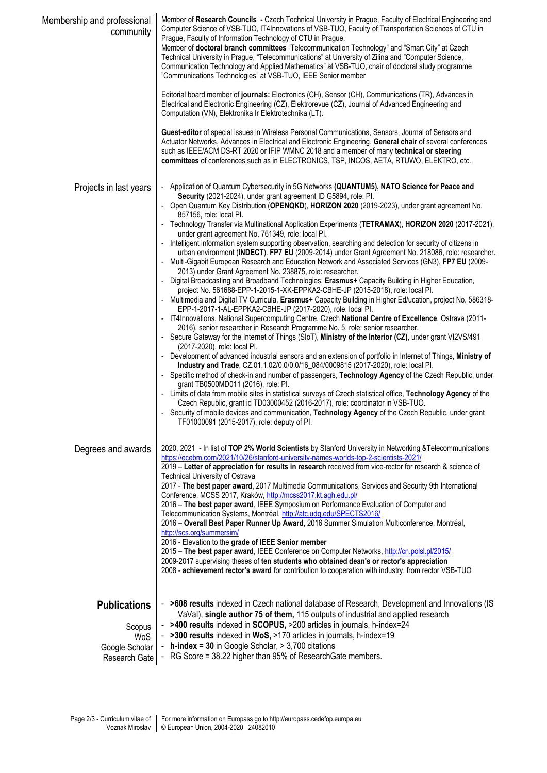| Membership and professional<br>community                                | Member of Research Councils - Czech Technical University in Prague, Faculty of Electrical Engineering and<br>Computer Science of VSB-TUO, IT4Innovations of VSB-TUO, Faculty of Transportation Sciences of CTU in<br>Prague, Faculty of Information Technology of CTU in Prague,<br>Member of doctoral branch committees "Telecommunication Technology" and "Smart City" at Czech<br>Technical University in Prague, "Telecommunications" at University of Zilina and "Computer Science,<br>Communication Technology and Applied Mathematics" at VSB-TUO, chair of doctoral study programme<br>"Communications Technologies" at VSB-TUO, IEEE Senior member<br>Editorial board member of journals: Electronics (CH), Sensor (CH), Communications (TR), Advances in<br>Electrical and Electronic Engineering (CZ), Elektrorevue (CZ), Journal of Advanced Engineering and<br>Computation (VN), Elektronika Ir Elektrotechnika (LT).<br>Guest-editor of special issues in Wireless Personal Communications, Sensors, Journal of Sensors and<br>Actuator Networks, Advances in Electrical and Electronic Engineering. General chair of several conferences<br>such as IEEE/ACM DS-RT 2020 or IFIP WMNC 2018 and a member of many technical or steering<br>committees of conferences such as in ELECTRONICS, TSP, INCOS, AETA, RTUWO, ELEKTRO, etc                                                                                                                                                                                                                                                                                                                                                                                                                                                                                                                                                                                                                                                                                                                                                                                                                                                                                                                                       |
|-------------------------------------------------------------------------|--------------------------------------------------------------------------------------------------------------------------------------------------------------------------------------------------------------------------------------------------------------------------------------------------------------------------------------------------------------------------------------------------------------------------------------------------------------------------------------------------------------------------------------------------------------------------------------------------------------------------------------------------------------------------------------------------------------------------------------------------------------------------------------------------------------------------------------------------------------------------------------------------------------------------------------------------------------------------------------------------------------------------------------------------------------------------------------------------------------------------------------------------------------------------------------------------------------------------------------------------------------------------------------------------------------------------------------------------------------------------------------------------------------------------------------------------------------------------------------------------------------------------------------------------------------------------------------------------------------------------------------------------------------------------------------------------------------------------------------------------------------------------------------------------------------------------------------------------------------------------------------------------------------------------------------------------------------------------------------------------------------------------------------------------------------------------------------------------------------------------------------------------------------------------------------------------------------------------------------------------------------------------------------|
| Projects in last years                                                  | - Application of Quantum Cybersecurity in 5G Networks (QUANTUM5), NATO Science for Peace and<br>Security (2021-2024), under grant agreement ID G5894, role: PI.<br>- Open Quantum Key Distribution (OPENQKD), HORIZON 2020 (2019-2023), under grant agreement No.<br>857156, role: local PI.<br>- Technology Transfer via Multinational Application Experiments (TETRAMAX), HORIZON 2020 (2017-2021),<br>under grant agreement No. 761349, role: local PI.<br>- Intelligent information system supporting observation, searching and detection for security of citizens in<br>urban environment (INDECT). FP7 EU (2009-2014) under Grant Agreement No. 218086, role: researcher.<br>Multi-Gigabit European Research and Education Network and Associated Services (GN3), FP7 EU (2009-<br>2013) under Grant Agreement No. 238875, role: researcher.<br>- Digital Broadcasting and Broadband Technologies, Erasmus+ Capacity Building in Higher Education,<br>project No. 561688-EPP-1-2015-1-XK-EPPKA2-CBHE-JP (2015-2018), role: local Pl.<br>- Multimedia and Digital TV Curricula, Erasmus+ Capacity Building in Higher Ed/ucation, project No. 586318-<br>EPP-1-2017-1-AL-EPPKA2-CBHE-JP (2017-2020), role: local PI.<br>- IT4Innovations, National Supercomputing Centre, Czech National Centre of Excellence, Ostrava (2011-<br>2016), senior researcher in Research Programme No. 5, role: senior researcher.<br>- Secure Gateway for the Internet of Things (SIoT), Ministry of the Interior (CZ), under grant VI2VS/491<br>(2017-2020), role: local PI.<br>- Development of advanced industrial sensors and an extension of portfolio in Internet of Things, Ministry of<br>Industry and Trade, CZ.01.1.02/0.0/0.0/16_084/0009815 (2017-2020), role: local Pl.<br>- Specific method of check-in and number of passengers, Technology Agency of the Czech Republic, under<br>grant TB0500MD011 (2016), role: PI.<br>- Limits of data from mobile sites in statistical surveys of Czech statistical office, Technology Agency of the<br>Czech Republic, grant id TD03000452 (2016-2017), role: coordinator in VSB-TUO.<br>- Security of mobile devices and communication, Technology Agency of the Czech Republic, under grant<br>TF01000091 (2015-2017), role: deputy of PI. |
| Degrees and awards                                                      | 2020, 2021 - In list of TOP 2% World Scientists by Stanford University in Networking & Telecommunications<br>https://ecebm.com/2021/10/26/stanford-university-names-worlds-top-2-scientists-2021/<br>2019 – Letter of appreciation for results in research received from vice-rector for research & science of<br><b>Technical University of Ostrava</b><br>2017 - The best paper award, 2017 Multimedia Communications, Services and Security 9th International<br>Conference, MCSS 2017, Kraków, http://mcss2017.kt.agh.edu.pl/<br>2016 - The best paper award, IEEE Symposium on Performance Evaluation of Computer and<br>Telecommunication Systems, Montréal, http://atc.udg.edu/SPECTS2016/<br>2016 - Overall Best Paper Runner Up Award, 2016 Summer Simulation Multiconference, Montréal,<br>http://scs.org/summersim/<br>2016 - Elevation to the grade of IEEE Senior member<br>2015 - The best paper award, IEEE Conference on Computer Networks, http://cn.polsl.pl/2015/<br>2009-2017 supervising theses of ten students who obtained dean's or rector's appreciation<br>2008 - achievement rector's award for contribution to cooperation with industry, from rector VSB-TUO                                                                                                                                                                                                                                                                                                                                                                                                                                                                                                                                                                                                                                                                                                                                                                                                                                                                                                                                                                                                                                                                                            |
| <b>Publications</b><br>Scopus<br>WoS<br>Google Scholar<br>Research Gate | - >608 results indexed in Czech national database of Research, Development and Innovations (IS<br>VaVal), single author 75 of them, 115 outputs of industrial and applied research<br>- >400 results indexed in SCOPUS, >200 articles in journals, h-index=24<br>- >300 results indexed in WoS, >170 articles in journals, h-index=19<br>- $h$ -index = 30 in Google Scholar, $> 3,700$ citations<br>- RG Score = 38.22 higher than 95% of Research Gate members.                                                                                                                                                                                                                                                                                                                                                                                                                                                                                                                                                                                                                                                                                                                                                                                                                                                                                                                                                                                                                                                                                                                                                                                                                                                                                                                                                                                                                                                                                                                                                                                                                                                                                                                                                                                                                    |